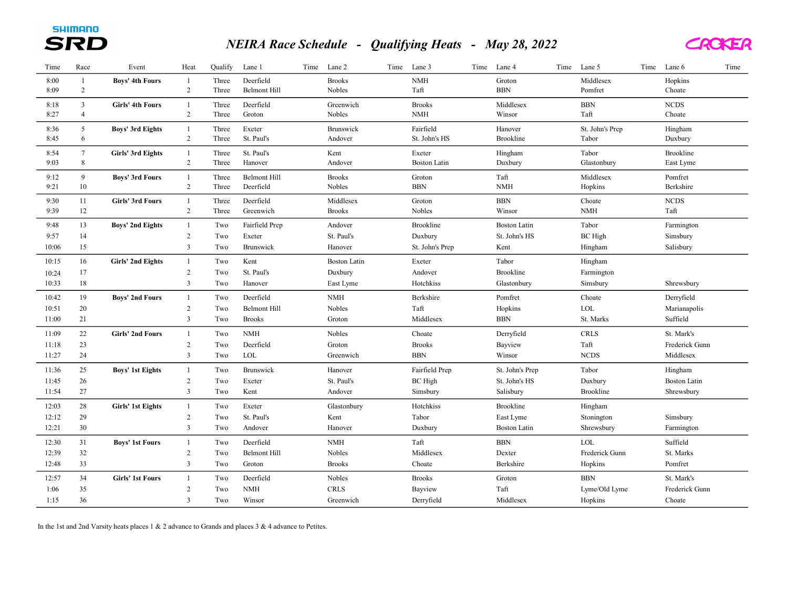## NEIRA Race Schedule - Qualifying Heats - May 28, 2022



| Time         | Race            | Event                   | Heat                           | Qualify        | Lane 1                 | Time | Lane 2                         | Time | Lane 3               | Time | Lane 4               | Time | Lane 5               | Time | Lane 6               | Time |
|--------------|-----------------|-------------------------|--------------------------------|----------------|------------------------|------|--------------------------------|------|----------------------|------|----------------------|------|----------------------|------|----------------------|------|
| 8:00         | 1               | <b>Boys' 4th Fours</b>  | $\mathbf{1}$                   | Three          | Deerfield              |      | <b>Brooks</b>                  |      | $\it{NMH}$           |      | Groton               |      | Middlesex            |      | Hopkins              |      |
| 8:09         | $\overline{2}$  |                         | $\overline{2}$                 | Three          | <b>Belmont Hill</b>    |      | Nobles                         |      | Taft                 |      | <b>BBN</b>           |      | Pomfret              |      | Choate               |      |
| 8:18         | $\mathfrak{Z}$  | <b>Girls' 4th Fours</b> | $\mathbf{1}$                   | Three          | Deerfield              |      | Greenwich                      |      | <b>Brooks</b>        |      | Middlesex            |      | $_{\rm BBN}$         |      | <b>NCDS</b>          |      |
| 8:27         | $\overline{4}$  |                         | $\sqrt{2}$                     | Three          | Groton                 |      | Nobles                         |      | <b>NMH</b>           |      | Winsor               |      | Taft                 |      | Choate               |      |
| 8:36         | 5               | <b>Boys' 3rd Eights</b> | $\mathbf{1}$                   | Three          | Exeter                 |      | Brunswick                      |      | Fairfield            |      | Hanover              |      | St. John's Prep      |      | Hingham              |      |
| 8:45         | 6               |                         | $\sqrt{2}$                     | Three          | St. Paul's             |      | Andover                        |      | St. John's HS        |      | <b>Brookline</b>     |      | Tabor                |      | Duxbury              |      |
| 8:54         | $7\phantom{.0}$ | Girls' 3rd Eights       | $\mathbf{1}$                   | Three          | St. Paul's             |      | Kent                           |      | Exeter               |      | Hingham              |      | Tabor                |      | Brookline            |      |
| 9:03         | 8               |                         | $\overline{c}$                 | Three          | Hanover                |      | Andover                        |      | <b>Boston Latin</b>  |      | Duxbury              |      | Glastonbury          |      | East Lyme            |      |
|              |                 |                         |                                |                | <b>Belmont Hill</b>    |      |                                |      |                      |      |                      |      |                      |      |                      |      |
| 9:12<br>9:21 | 9<br>10         | <b>Boys' 3rd Fours</b>  | $\mathbf{1}$<br>$\overline{c}$ | Three<br>Three | Deerfield              |      | <b>Brooks</b><br><b>Nobles</b> |      | Groton<br><b>BBN</b> |      | Taft<br><b>NMH</b>   |      | Middlesex<br>Hopkins |      | Pomfret<br>Berkshire |      |
|              |                 |                         |                                |                |                        |      |                                |      |                      |      |                      |      |                      |      |                      |      |
| 9:30<br>9:39 | 11<br>12        | <b>Girls' 3rd Fours</b> | $\mathbf{1}$<br>$\sqrt{2}$     | Three<br>Three | Deerfield<br>Greenwich |      | Middlesex<br><b>Brooks</b>     |      | Groton<br>Nobles     |      | <b>BBN</b><br>Winsor |      | Choate<br><b>NMH</b> |      | <b>NCDS</b><br>Taft  |      |
|              |                 |                         |                                |                |                        |      |                                |      |                      |      |                      |      |                      |      |                      |      |
| 9:48         | 13              | <b>Boys' 2nd Eights</b> | $\mathbf{1}$                   | Two            | Fairfield Prep         |      | Andover                        |      | Brookline            |      | <b>Boston Latin</b>  |      | Tabor                |      | Farmington           |      |
| 9:57         | 14              |                         | 2                              | Two            | Exeter                 |      | St. Paul's                     |      | Duxbury              |      | St. John's HS        |      | <b>BC</b> High       |      | Simsbury             |      |
| 10:06        | 15              |                         | $\mathfrak{Z}$                 | Two            | Brunswick              |      | Hanover                        |      | St. John's Prep      |      | Kent                 |      | Hingham              |      | Salisbury            |      |
| 10:15        | 16              | Girls' 2nd Eights       | $\mathbf{1}$                   | Two            | Kent                   |      | <b>Boston Latin</b>            |      | Exeter               |      | Tabor                |      | Hingham              |      |                      |      |
| 10:24        | 17              |                         | $\sqrt{2}$                     | Two            | St. Paul's             |      | Duxbury                        |      | Andover              |      | Brookline            |      | Farmington           |      |                      |      |
| 10:33        | 18              |                         | $\mathfrak{Z}$                 | Two            | Hanover                |      | East Lyme                      |      | Hotchkiss            |      | Glastonbury          |      | Simsbury             |      | Shrewsbury           |      |
| 10:42        | 19              | <b>Boys' 2nd Fours</b>  | $\mathbf{1}$                   | Two            | Deerfield              |      | <b>NMH</b>                     |      | Berkshire            |      | Pomfret              |      | Choate               |      | Derryfield           |      |
| 10:51        | 20              |                         | $\sqrt{2}$                     | Two            | <b>Belmont Hill</b>    |      | Nobles                         |      | Taft                 |      | Hopkins              |      | $_{\rm LOL}$         |      | Marianapolis         |      |
| 11:00        | 21              |                         | $\mathfrak{Z}$                 | Two            | <b>Brooks</b>          |      | Groton                         |      | Middlesex            |      | <b>BBN</b>           |      | St. Marks            |      | Suffield             |      |
| 11:09        | 22              | <b>Girls' 2nd Fours</b> | $\mathbf{1}$                   | Two            | <b>NMH</b>             |      | Nobles                         |      | Choate               |      | Derryfield           |      | <b>CRLS</b>          |      | St. Mark's           |      |
| 11:18        | 23              |                         | $\overline{c}$                 | Two            | Deerfield              |      | Groton                         |      | <b>Brooks</b>        |      | Bayview              |      | Taft                 |      | Frederick Gunn       |      |
| 11:27        | 24              |                         | $\mathfrak{Z}$                 | Two            | $_{\rm LOL}$           |      | Greenwich                      |      | <b>BBN</b>           |      | Winsor               |      | <b>NCDS</b>          |      | Middlesex            |      |
|              |                 |                         |                                |                |                        |      |                                |      |                      |      |                      |      |                      |      |                      |      |
| 11:36        | 25              | <b>Boys' 1st Eights</b> | $\mathbf{1}$                   | Two            | <b>Brunswick</b>       |      | Hanover                        |      | Fairfield Prep       |      | St. John's Prep      |      | Tabor                |      | Hingham              |      |
| 11:45        | 26              |                         | 2                              | Two            | Exeter                 |      | St. Paul's                     |      | <b>BC</b> High       |      | St. John's HS        |      | Duxbury              |      | <b>Boston Latin</b>  |      |
| 11:54        | 27              |                         | $\overline{3}$                 | Two            | Kent                   |      | Andover                        |      | Simsbury             |      | Salisbury            |      | Brookline            |      | Shrewsbury           |      |
| 12:03        | 28              | Girls' 1st Eights       | $\overline{1}$                 | Two            | Exeter                 |      | Glastonbury                    |      | Hotchkiss            |      | <b>Brookline</b>     |      | Hingham              |      |                      |      |
| 12:12        | 29              |                         | 2                              | Two            | St. Paul's             |      | Kent                           |      | Tabor                |      | East Lyme            |      | Stonington           |      | Simsbury             |      |
| 12:21        | 30              |                         | $\mathfrak{Z}$                 | Two            | Andover                |      | Hanover                        |      | Duxbury              |      | <b>Boston Latin</b>  |      | Shrewsbury           |      | Farmington           |      |
| 12:30        | 31              | <b>Boys' 1st Fours</b>  | 1                              | Two            | Deerfield              |      | <b>NMH</b>                     |      | Taft                 |      | <b>BBN</b>           |      | <b>LOL</b>           |      | Suffield             |      |
| 12:39        | 32              |                         | $\sqrt{2}$                     | Two            | <b>Belmont Hill</b>    |      | Nobles                         |      | Middlesex            |      | Dexter               |      | Frederick Gunn       |      | St. Marks            |      |
| 12:48        | 33              |                         | $\mathfrak{Z}$                 | Two            | Groton                 |      | <b>Brooks</b>                  |      | Choate               |      | Berkshire            |      | Hopkins              |      | Pomfret              |      |
| 12:57        | 34              | <b>Girls' 1st Fours</b> | $\mathbf{1}$                   | Two            | Deerfield              |      | Nobles                         |      | <b>Brooks</b>        |      | Groton               |      | <b>BBN</b>           |      | St. Mark's           |      |
| 1:06         | 35              |                         | $\overline{c}$                 | Two            | <b>NMH</b>             |      | <b>CRLS</b>                    |      | Bayview              |      | Taft                 |      | Lyme/Old Lyme        |      | Frederick Gunn       |      |
| 1:15         | 36              |                         | 3                              | Two            | Winsor                 |      | Greenwich                      |      | Derryfield           |      | Middlesex            |      | Hopkins              |      | Choate               |      |
|              |                 |                         |                                |                |                        |      |                                |      |                      |      |                      |      |                      |      |                      |      |

In the 1st and 2nd Varsity heats places 1 & 2 advance to Grands and places 3 & 4 advance to Petites.